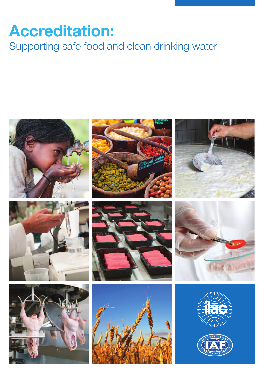# **Accreditation:**

Supporting safe food and clean drinking water



















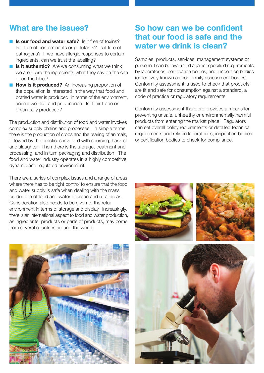### **What are the issues?**

- **Is our food and water safe?** Is it free of toxins? Is it free of contaminants or pollutants? Is it free of pathogens? If we have allergic responses to certain ingredients, can we trust the labelling?
- **Is it authentic?** Are we consuming what we think we are? Are the ingredients what they say on the can or on the label?
- **How is it produced?** An increasing proportion of the population is interested in the way that food and bottled water is produced, in terms of the environment, animal welfare, and provenance. Is it fair trade or organically produced?

The production and distribution of food and water involves complex supply chains and processes. In simple terms, there is the production of crops and the rearing of animals, followed by the practices involved with sourcing, harvest and slaughter. Then there is the storage, treatment and processing, and in turn packaging and distribution. The food and water industry operates in a highly competitive, dynamic and regulated environment.

There are a series of complex issues and a range of areas where there has to be tight control to ensure that the food and water supply is safe when dealing with the mass production of food and water in urban and rural areas. Consideration also needs to be given to the retail environment in terms of storage and display. Increasingly, there is an international aspect to food and water production, as ingredients, products or parts of products, may come from several countries around the world.



### **So how can we be confident that our food is safe and the water we drink is clean?**

Samples, products, services, management systems or personnel can be evaluated against specified requirements by laboratories, certification bodies, and inspection bodies (collectively known as conformity assessment bodies). Conformity assessment is used to check that products are fit and safe for consumption against a standard, a code of practice or regulatory requirements.

Conformity assessment therefore provides a means for preventing unsafe, unhealthy or environmentally harmful products from entering the market place. Regulators can set overall policy requirements or detailed technical requirements and rely on laboratories, inspection bodies or certification bodies to check for compliance.

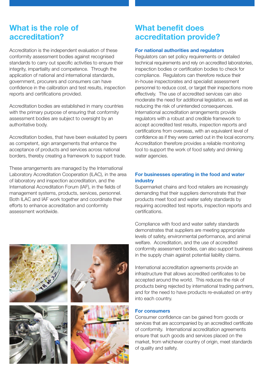### **What is the role of accreditation?**

Accreditation is the independent evaluation of these conformity assessment bodies against recognised standards to carry out specific activities to ensure their integrity, impartiality and competence. Through the application of national and international standards, government, procurers and consumers can have confidence in the calibration and test results, inspection reports and certifications provided.

Accreditation bodies are established in many countries with the primary purpose of ensuring that conformity assessment bodies are subject to oversight by an authoritative body.

Accreditation bodies, that have been evaluated by peers as competent, sign arrangements that enhance the acceptance of products and services across national borders, thereby creating a framework to support trade.

These arrangements are managed by the International Laboratory Accreditation Cooperation (ILAC), in the area of laboratory and inspection accreditation, and the International Accreditation Forum (IAF), in the fields of management systems, products, services, personnel. Both ILAC and IAF work together and coordinate their efforts to enhance accreditation and conformity assessment worldwide.



# **What benefit does accreditation provide?**

#### **For national authorities and regulators**

Regulators can set policy requirements or detailed technical requirements and rely on accredited laboratories, inspection bodies or certification bodies to check for compliance. Regulators can therefore reduce their in-house inspectorates and specialist assessment personnel to reduce cost, or target their inspections more effectively. The use of accredited services can also moderate the need for additional legislation, as well as reducing the risk of unintended consequences. International accreditation arrangements provide regulators with a robust and credible framework to accept accredited test results, inspection reports and certifications from overseas, with an equivalent level of confidence as if they were carried out in the local economy. Accreditation therefore provides a reliable monitoring tool to support the work of food safety and drinking water agencies.

### **For businesses operating in the food and water industry**

Supermarket chains and food retailers are increasingly demanding that their suppliers demonstrate that their products meet food and water safety standards by requiring accredited test reports, inspection reports and certifications.

Compliance with food and water safety standards demonstrates that suppliers are meeting appropriate levels of safety, environmental performance, and animal welfare. Accreditation, and the use of accredited conformity assessment bodies, can also support business in the supply chain against potential liability claims.

International accreditation agreements provide an infrastructure that allows accredited certificates to be accepted around the world. This reduces the risk of products being rejected by international trading partners, and for the need to have products re-evaluated on entry into each country.

#### **For consumers**

Consumer confidence can be gained from goods or services that are accompanied by an accredited certificate of conformity. International accreditation agreements ensure that such goods and services placed on the market, from whichever country of origin, meet standards of quality and safety.